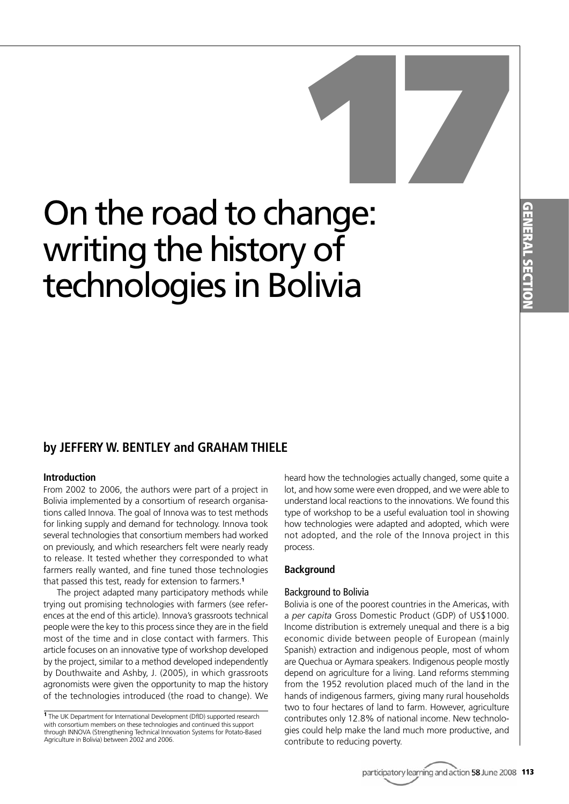# On the road to change: **17**<br> **17**<br> **17**<br> **17**<br> **17**<br> **17**<br> **17** writing the history of technologies in Bolivia

# **by JEFFERY W. BENTLEY and GRAHAM THIELE**

# **Introduction**

From 2002 to 2006, the authors were part of a project in Bolivia implemented by a consortium of research organisations called Innova. The goal of Innova was to test methods for linking supply and demand for technology. Innova took several technologies that consortium members had worked on previously, and which researchers felt were nearly ready to release. It tested whether they corresponded to what farmers really wanted, and fine tuned those technologies that passed this test, ready for extension to farmers.**<sup>1</sup>**

The project adapted many participatory methods while trying out promising technologies with farmers (see references at the end of this article). Innova's grassroots technical people were the key to this process since they are in the field most of the time and in close contact with farmers. This article focuses on an innovative type of workshop developed by the project, similar to a method developed independently by Douthwaite and Ashby, J. (2005), in which grassroots agronomists were given the opportunity to map the history of the technologies introduced (the road to change). We heard how the technologies actually changed, some quite a lot, and how some were even dropped, and we were able to understand local reactions to the innovations. We found this type of workshop to be a useful evaluation tool in showing how technologies were adapted and adopted, which were not adopted, and the role of the Innova project in this process.

# **Background**

## Background to Bolivia

Bolivia is one of the poorest countries in the Americas, with a *per capita* Gross Domestic Product (GDP) of US\$1000. Income distribution is extremely unequal and there is a big economic divide between people of European (mainly Spanish) extraction and indigenous people, most of whom are Quechua or Aymara speakers. Indigenous people mostly depend on agriculture for a living. Land reforms stemming from the 1952 revolution placed much of the land in the hands of indigenous farmers, giving many rural households two to four hectares of land to farm. However, agriculture contributes only 12.8% of national income. New technologies could help make the land much more productive, and contribute to reducing poverty.

**<sup>1</sup>** The UK Department for International Development (DfID) supported research with consortium members on these technologies and continued this support through INNOVA (Strengthening Technical Innovation Systems for Potato-Based Agriculture in Bolivia) between 2002 and 2006.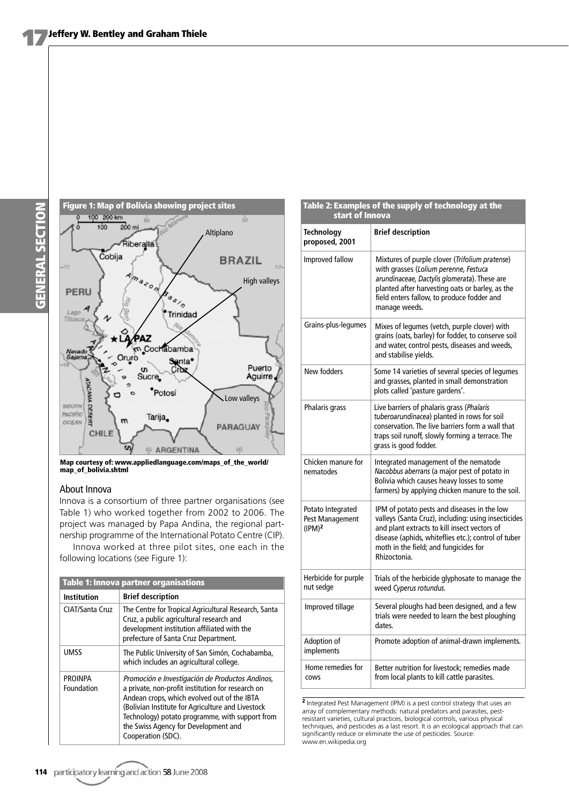

**Map courtesy of: www.appliedlanguage.com/maps\_of\_the\_world/ map\_of\_bolivia.shtml**

## About Innova

Innova is a consortium of three partner organisations (see Table 1) who worked together from 2002 to 2006. The project was managed by Papa Andina, the regional partnership programme of the International Potato Centre (CIP).

Innova worked at three pilot sites, one each in the following locations (see Figure 1):

| <b>Table 1: Innova partner organisations</b> |                                                                                                                                                                                                                                                                                                                           |  |  |  |  |
|----------------------------------------------|---------------------------------------------------------------------------------------------------------------------------------------------------------------------------------------------------------------------------------------------------------------------------------------------------------------------------|--|--|--|--|
| <b>Institution</b>                           | <b>Brief description</b>                                                                                                                                                                                                                                                                                                  |  |  |  |  |
| CIAT/Santa Cruz                              | The Centre for Tropical Agricultural Research, Santa<br>Cruz, a public agricultural research and<br>development institution affiliated with the<br>prefecture of Santa Cruz Department.                                                                                                                                   |  |  |  |  |
| <b>UMSS</b>                                  | The Public University of San Simón, Cochabamba,<br>which includes an agricultural college.                                                                                                                                                                                                                                |  |  |  |  |
| <b>PROINPA</b><br>Foundation                 | Promoción e Investigación de Productos Andinos,<br>a private, non-profit institution for research on<br>Andean crops, which evolved out of the IBTA<br>(Bolivian Institute for Agriculture and Livestock<br>Technology) potato programme, with support from<br>the Swiss Agency for Development and<br>Cooperation (SDC). |  |  |  |  |

| Table 2: Examples of the supply of technology at the<br>start of Innova |                                                                                                                                                                                                                                                                    |  |  |  |  |
|-------------------------------------------------------------------------|--------------------------------------------------------------------------------------------------------------------------------------------------------------------------------------------------------------------------------------------------------------------|--|--|--|--|
| <b>Technology</b><br>proposed, 2001                                     | <b>Brief description</b>                                                                                                                                                                                                                                           |  |  |  |  |
| Improved fallow                                                         | Mixtures of purple clover (Trifolium pratense)<br>with grasses (Lolium perenne, Festuca<br>arundinaceae, Dactylis glomerata). These are<br>planted after harvesting oats or barley, as the<br>field enters fallow, to produce fodder and<br>manage weeds.          |  |  |  |  |
| Grains-plus-legumes                                                     | Mixes of legumes (vetch, purple clover) with<br>grains (oats, barley) for fodder, to conserve soil<br>and water, control pests, diseases and weeds,<br>and stabilise yields.                                                                                       |  |  |  |  |
| New fodders                                                             | Some 14 varieties of several species of legumes<br>and grasses, planted in small demonstration<br>plots called 'pasture gardens'.                                                                                                                                  |  |  |  |  |
| Phalaris grass                                                          | Live barriers of phalaris grass (Phalaris<br>tuberoarundinacea) planted in rows for soil<br>conservation. The live barriers form a wall that<br>traps soil runoff, slowly forming a terrace. The<br>grass is good fodder.                                          |  |  |  |  |
| Chicken manure for<br>nematodes                                         | Integrated management of the nematode<br>Nacobbus aberrans (a major pest of potato in<br>Bolivia which causes heavy losses to some<br>farmers) by applying chicken manure to the soil.                                                                             |  |  |  |  |
| Potato Integrated<br>Pest Management<br>(IPM) <sup>2</sup>              | IPM of potato pests and diseases in the low<br>valleys (Santa Cruz), including: using insecticides<br>and plant extracts to kill insect vectors of<br>disease (aphids, whiteflies etc.); control of tuber<br>moth in the field; and fungicides for<br>Rhizoctonia. |  |  |  |  |
| Herbicide for purple<br>nut sedge                                       | Trials of the herbicide glyphosate to manage the<br>weed Cyperus rotundus.                                                                                                                                                                                         |  |  |  |  |
| Improved tillage                                                        | Several ploughs had been designed, and a few<br>trials were needed to learn the best ploughing<br>dates.                                                                                                                                                           |  |  |  |  |
| Adoption of<br>implements                                               | Promote adoption of animal-drawn implements.                                                                                                                                                                                                                       |  |  |  |  |
| Home remedies for<br>COWS                                               | Better nutrition for livestock; remedies made<br>from local plants to kill cattle parasites.                                                                                                                                                                       |  |  |  |  |

**<sup>2</sup>** Integrated Pest Management (IPM) is a pest control strategy that uses an array of complementary methods: natural predators and parasites, pestresistant varieties, cultural practices, biological controls, various physical techniques, and pesticides as a last resort. It is an ecological approach that can significantly reduce or eliminate the use of pesticides. Source: www.en.wikipedia.org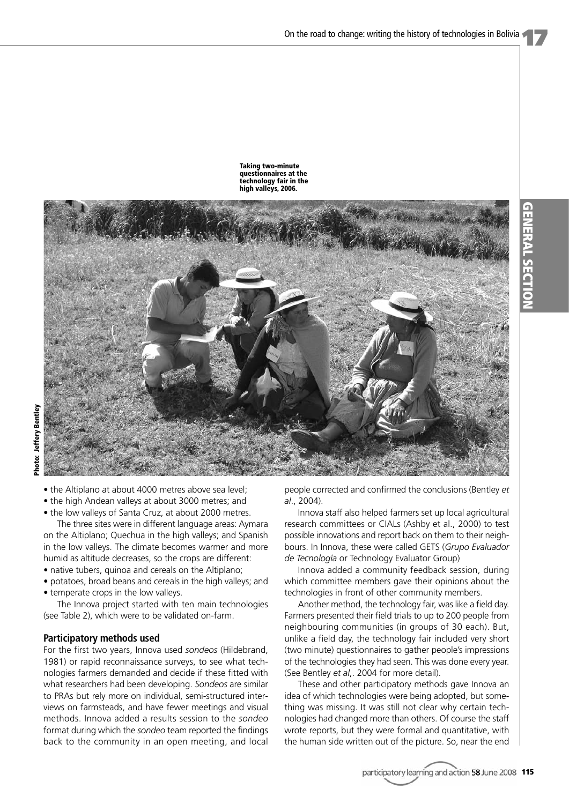**GENERAL**

**GENERAL SECTION** 

**SECTION**





- the Altiplano at about 4000 metres above sea level;
- the high Andean valleys at about 3000 metres; and
- the low valleys of Santa Cruz, at about 2000 metres.

The three sites were in different language areas: Aymara on the Altiplano; Quechua in the high valleys; and Spanish in the low valleys. The climate becomes warmer and more humid as altitude decreases, so the crops are different:

- native tubers, quinoa and cereals on the Altiplano;
- potatoes, broad beans and cereals in the high valleys; and
- temperate crops in the low valleys.

The Innova project started with ten main technologies (see Table 2), which were to be validated on-farm.

#### **Participatory methods used**

For the first two years, Innova used *sondeos* (Hildebrand, 1981) or rapid reconnaissance surveys, to see what technologies farmers demanded and decide if these fitted with what researchers had been developing. *Sondeos* are similar to PRAs but rely more on individual, semi-structured interviews on farmsteads, and have fewer meetings and visual methods. Innova added a results session to the *sondeo* format during which the *sondeo* team reported the findings back to the community in an open meeting, and local

people corrected and confirmed the conclusions (Bentley *et al*., 2004).

Innova staff also helped farmers set up local agricultural research committees or CIALs (Ashby et al., 2000) to test possible innovations and report back on them to their neighbours. In Innova, these were called GETS (*Grupo Evaluador de Tecnología* or Technology Evaluator Group)

Innova added a community feedback session, during which committee members gave their opinions about the technologies in front of other community members.

Another method, the technology fair, was like a field day. Farmers presented their field trials to up to 200 people from neighbouring communities (in groups of 30 each). But, unlike a field day, the technology fair included very short (two minute) questionnaires to gather people's impressions of the technologies they had seen. This was done every year. (See Bentley *et al*,. 2004 for more detail).

These and other participatory methods gave Innova an idea of which technologies were being adopted, but something was missing. It was still not clear why certain technologies had changed more than others. Of course the staff wrote reports, but they were formal and quantitative, with the human side written out of the picture. So, near the end

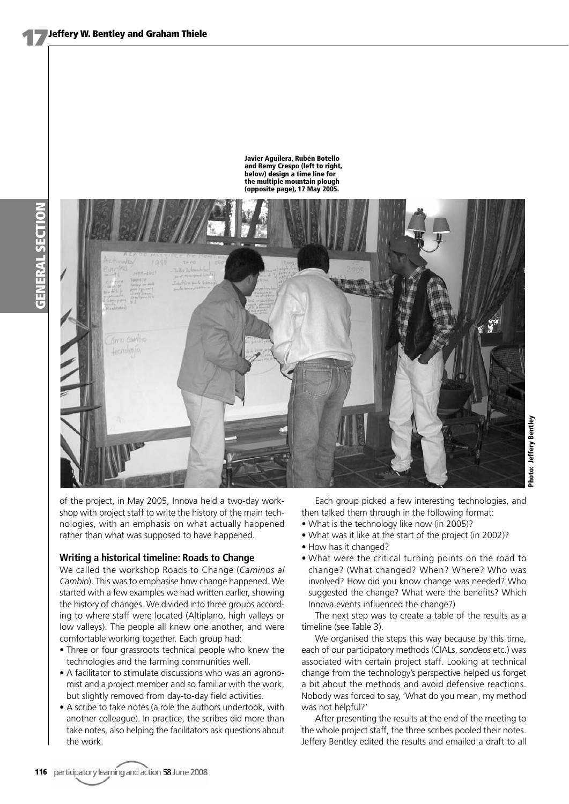

**Javier Aguilera, Rubén Botello and Remy Crespo (left to right, below) design a time line for the multiple mountain plough (opposite page), 17 May 2005.**

of the project, in May 2005, Innova held a two-day workshop with project staff to write the history of the main technologies, with an emphasis on what actually happened rather than what was supposed to have happened.

# **Writing a historical timeline: Roads to Change**

We called the workshop Roads to Change (*Caminos al Cambio*). This was to emphasise how change happened. We started with a few examples we had written earlier, showing the history of changes. We divided into three groups according to where staff were located (Altiplano, high valleys or low valleys). The people all knew one another, and were comfortable working together. Each group had:

- Three or four grassroots technical people who knew the technologies and the farming communities well.
- A facilitator to stimulate discussions who was an agronomist and a project member and so familiar with the work, but slightly removed from day-to-day field activities.
- A scribe to take notes (a role the authors undertook, with another colleague). In practice, the scribes did more than take notes, also helping the facilitators ask questions about the work.

Each group picked a few interesting technologies, and then talked them through in the following format:

- What is the technology like now (in 2005)?
- What was it like at the start of the project (in 2002)?
- How has it changed?
- What were the critical turning points on the road to change? (What changed? When? Where? Who was involved? How did you know change was needed? Who suggested the change? What were the benefits? Which Innova events influenced the change?)

The next step was to create a table of the results as a timeline (see Table 3).

We organised the steps this way because by this time, each of our participatory methods (CIALs, *sondeos* etc.) was associated with certain project staff. Looking at technical change from the technology's perspective helped us forget a bit about the methods and avoid defensive reactions. Nobody was forced to say, 'What do you mean, my method was not helpful?'

After presenting the results at the end of the meeting to the whole project staff, the three scribes pooled their notes. Jeffery Bentley edited the results and emailed a draft to all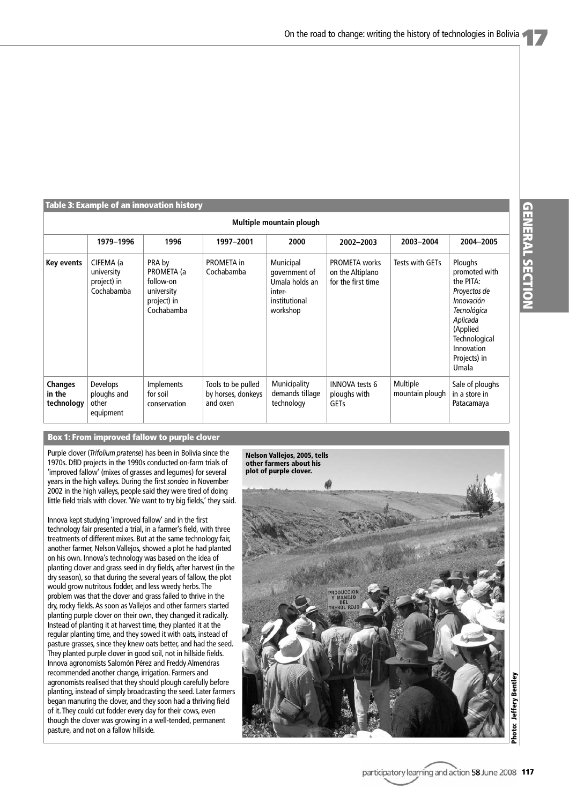#### **Table 3: Example of an innovation history**

| Multiple mountain plough               |                                                      |                                                                              |                                                      |                                                                                     |                                                                |                                    |                                                                                                                                                                    |  |  |  |
|----------------------------------------|------------------------------------------------------|------------------------------------------------------------------------------|------------------------------------------------------|-------------------------------------------------------------------------------------|----------------------------------------------------------------|------------------------------------|--------------------------------------------------------------------------------------------------------------------------------------------------------------------|--|--|--|
|                                        | 1979-1996                                            | 1996                                                                         | 1997-2001                                            | 2000                                                                                | 2002-2003                                                      | 2003-2004                          | 2004-2005                                                                                                                                                          |  |  |  |
| Key events                             | CIFEMA (a<br>university<br>project) in<br>Cochabamba | PRA by<br>PROMETA (a<br>follow-on<br>university<br>project) in<br>Cochabamba | <b>PROMETA</b> in<br>Cochabamba                      | Municipal<br>government of<br>Umala holds an<br>inter-<br>institutional<br>workshop | <b>PROMETA</b> works<br>on the Altiplano<br>for the first time | Tests with GETs                    | Ploughs<br>promoted with<br>the PITA:<br>Proyectos de<br>Innovación<br>Tecnológica<br>Aplicada<br>(Applied<br>Technological<br>Innovation<br>Projects) in<br>Umala |  |  |  |
| <b>Changes</b><br>in the<br>technology | <b>Develops</b><br>ploughs and<br>other<br>equipment | <b>Implements</b><br>for soil<br>conservation                                | Tools to be pulled<br>by horses, donkeys<br>and oxen | Municipality<br>demands tillage<br>technology                                       | <b>INNOVA tests 6</b><br>ploughs with<br><b>GETs</b>           | <b>Multiple</b><br>mountain plough | Sale of ploughs<br>in a store in<br>Patacamaya                                                                                                                     |  |  |  |

# **Box 1: From improved fallow to purple clover**

Purple clover (*Trifolium pratense*) has been in Bolivia since the 1970s. DfID projects in the 1990s conducted on-farm trials of 'improved fallow' (mixes of grasses and legumes) for several years in the high valleys. During the first *sondeo* in November 2002 in the high valleys, people said they were tired of doing little field trials with clover. 'We want to try big fields,' they said.

Innova kept studying 'improved fallow' and in the first technology fair presented a trial, in a farmer's field, with three treatments of different mixes. But at the same technology fair, another farmer, Nelson Vallejos, showed a plot he had planted on his own. Innova's technology was based on the idea of planting clover and grass seed in dry fields, after harvest (in the dry season), so that during the several years of fallow, the plot would grow nutritous fodder, and less weedy herbs. The problem was that the clover and grass failed to thrive in the dry, rocky fields. As soon as Vallejos and other farmers started planting purple clover on their own, they changed it radically. Instead of planting it at harvest time, they planted it at the regular planting time, and they sowed it with oats, instead of pasture grasses, since they knew oats better, and had the seed. They planted purple clover in good soil, not in hillside fields. Innova agronomists Salomón Pérez and Freddy Almendras recommended another change, irrigation. Farmers and agronomists realised that they should plough carefully before planting, instead of simply broadcasting the seed. Later farmers began manuring the clover, and they soon had a thriving field of it. They could cut fodder every day for their cows, even though the clover was growing in a well-tended, permanent pasture, and not on a fallow hillside.

**Nelson Vallejos, 2005, tells other farmers about his plot of purple clover.**

**Photo: Jeffery Bentley** Photo: Jeffery Bentley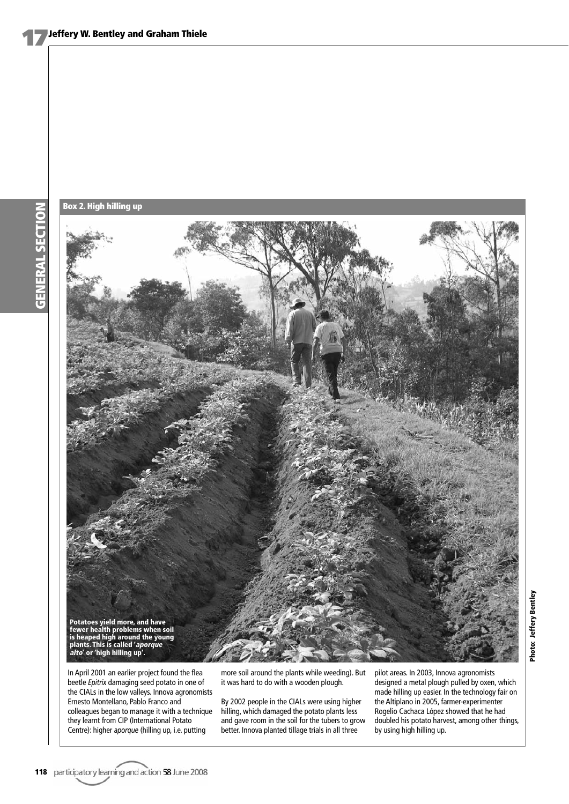**GENERAL SECTION GENERAL SECTION**





In April 2001 an earlier project found the flea beetle *Epitrix* damaging seed potato in one of the CIALs in the low valleys. Innova agronomists Ernesto Montellano, Pablo Franco and colleagues began to manage it with a technique they learnt from CIP (International Potato Centre): higher *aporque* (hilling up, i.e. putting

more soil around the plants while weeding). But it was hard to do with a wooden plough.

By 2002 people in the CIALs were using higher hilling, which damaged the potato plants less and gave room in the soil for the tubers to grow better. Innova planted tillage trials in all three

pilot areas. In 2003, Innova agronomists designed a metal plough pulled by oxen, which made hilling up easier. In the technology fair on the Altiplano in 2005, farmer-experimenter Rogelio Cachaca López showed that he had doubled his potato harvest, among other things, by using high hilling up.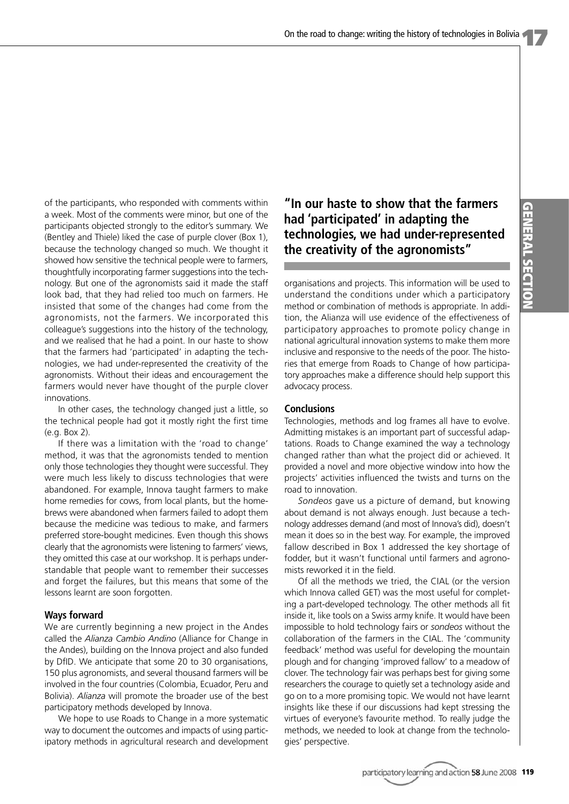of the participants, who responded with comments within a week. Most of the comments were minor, but one of the participants objected strongly to the editor's summary. We (Bentley and Thiele) liked the case of purple clover (Box 1), because the technology changed so much. We thought it showed how sensitive the technical people were to farmers, thoughtfully incorporating farmer suggestions into the technology. But one of the agronomists said it made the staff look bad, that they had relied too much on farmers. He insisted that some of the changes had come from the agronomists, not the farmers. We incorporated this colleague's suggestions into the history of the technology, and we realised that he had a point. In our haste to show that the farmers had 'participated' in adapting the technologies, we had under-represented the creativity of the agronomists. Without their ideas and encouragement the farmers would never have thought of the purple clover innovations.

In other cases, the technology changed just a little, so the technical people had got it mostly right the first time (e.g. Box 2).

If there was a limitation with the 'road to change' method, it was that the agronomists tended to mention only those technologies they thought were successful. They were much less likely to discuss technologies that were abandoned. For example, Innova taught farmers to make home remedies for cows, from local plants, but the homebrews were abandoned when farmers failed to adopt them because the medicine was tedious to make, and farmers preferred store-bought medicines. Even though this shows clearly that the agronomists were listening to farmers' views, they omitted this case at our workshop. It is perhaps understandable that people want to remember their successes and forget the failures, but this means that some of the lessons learnt are soon forgotten.

# **Ways forward**

We are currently beginning a new project in the Andes called the *Alianza Cambio Andino* (Alliance for Change in the Andes), building on the Innova project and also funded by DfID. We anticipate that some 20 to 30 organisations, 150 plus agronomists, and several thousand farmers will be involved in the four countries (Colombia, Ecuador, Peru and Bolivia). *Alianza* will promote the broader use of the best participatory methods developed by Innova.

We hope to use Roads to Change in a more systematic way to document the outcomes and impacts of using participatory methods in agricultural research and development

**"In our haste to show that the farmers had 'participated' in adapting the technologies, we had under-represented the creativity of the agronomists"**

organisations and projects. This information will be used to understand the conditions under which a participatory method or combination of methods is appropriate. In addition, the Alianza will use evidence of the effectiveness of participatory approaches to promote policy change in national agricultural innovation systems to make them more inclusive and responsive to the needs of the poor. The histories that emerge from Roads to Change of how participatory approaches make a difference should help support this advocacy process.

# **Conclusions**

Technologies, methods and log frames all have to evolve. Admitting mistakes is an important part of successful adaptations. Roads to Change examined the way a technology changed rather than what the project did or achieved. It provided a novel and more objective window into how the projects' activities influenced the twists and turns on the road to innovation.

*Sondeos* gave us a picture of demand, but knowing about demand is not always enough. Just because a technology addresses demand (and most of Innova's did), doesn't mean it does so in the best way. For example, the improved fallow described in Box 1 addressed the key shortage of fodder, but it wasn't functional until farmers and agronomists reworked it in the field.

Of all the methods we tried, the CIAL (or the version which Innova called GET) was the most useful for completing a part-developed technology. The other methods all fit inside it, like tools on a Swiss army knife. It would have been impossible to hold technology fairs or *sondeos* without the collaboration of the farmers in the CIAL. The 'community feedback' method was useful for developing the mountain plough and for changing 'improved fallow' to a meadow of clover. The technology fair was perhaps best for giving some researchers the courage to quietly set a technology aside and go on to a more promising topic. We would not have learnt insights like these if our discussions had kept stressing the virtues of everyone's favourite method. To really judge the methods, we needed to look at change from the technologies' perspective.